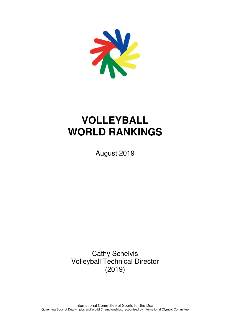

# **VOLLEYBALL WORLD RANKINGS**

August 2019

Cathy Schelvis Volleyball Technical Director (2019)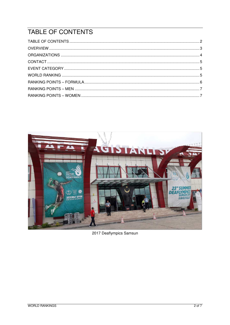# TABLE OF CONTENTS



2017 Deaflympics Samsun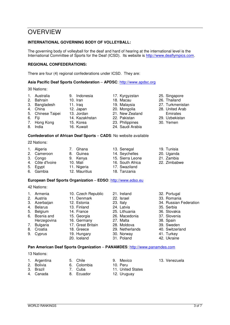### **OVERVIEW**

#### **INTERNATIONAL GOVERNING BODY OF VOLLEYBALL:**

The governing body of volleyball for the deaf and hard of hearing at the international level is the International Committee of Sports for the Deaf (ICSD). Its website is http://www.deaflympics.com.

#### **REGIONAL CONFEDERATIONS:**

There are four (4) regional confederations under ICSD. They are:

#### **Asia Pacific Deaf Sports Confederation** – **APDSC**: http://www.apdsc.org

30 Nations:

1. Australia 2. Bahrain 3. Bangladesh 4. China 5. Chinese Taipei 6. Fiji 7. Hong Kong 8. India 9. Indonesia 10. Iran 11. Iraq 12. Japan 13. Jordan 14. Kazakhstan 15. Korea 16. Kuwait 17. Kyrgyzstan 18. Macau 19. Malaysia 20. Mongolia 21. New Zealand 22. Pakistan 23. Philippines 24. Saudi Arabia 25. Singapore 26. Thailand 27. Turkmenistan 28. United Arab Emirates 29. Uzbekistan 30. Yemen

#### **Confederation of African Deaf Sports** – **CADS**: No website available

22 Nations:

1. Algeria 2. Cameroon 3. Congo 4. Côte d'Ivoire 5. Egypt 6. Gambia 7. Ghana 8. Guinea 9. Kenya 10. Mali 11. Nigeria 12. Mauritius 13. Senegal 14. Seychelles 15. Sierra Leone 16. South Africa 17. Swaziland 18. Tanzania

#### **European Deaf Sports Organization** – **EDSO**: http://www.edso.eu

42 Nations:

| 1. | Armenia       | 10. Czech Republic | 21. Ireland     | 32. Portugal           |
|----|---------------|--------------------|-----------------|------------------------|
|    | 2. Austria    | 11. Denmark        | 22. Israel      | 33. Romania            |
|    | 3. Azerbaijan | 12. Estonia        | 23. Italy       | 34. Russian Federation |
| 4. | Belarus       | 13. Finland        | 24. Latvia      | 35. Serbia             |
|    | 5. Belgium    | 14. France         | 25. Lithuania   | 36. Slovakia           |
|    | 6. Bosnia and | 15. Georgia        | 26. Macedonia   | 37. Slovenia           |
|    | Herzegovina   | 16. Germany        | 27. Malta       | 38. Spain              |
| 7. | Bulgaria      | 17. Great Britain  | 28. Moldova     | 39. Sweden             |
| 8. | Croatia       | 18. Greece         | 29. Netherlands | 40. Switzerland        |
| 9. | Cyprus        | 19. Hungary        | 30. Norway      | 41. Turkey             |
|    |               | 20. Iceland        | 31. Poland      | 42. Ukraine            |

#### **Pan American Deaf Sports Organization** – **PANAMDES**: http://www.panamdes.com

13 Nations:

- 1. Argentina
- 2. Bolivia 3. Brazil

4. Canada

- 5. Chile 6. Colombia
- 7. Cuba
- 8. Ecuador
- 9. Mexico 10. Peru 11. United States 12. Uruguay
- 13. Venezuela
- 
- 19. Tunisia
- 20. Uganda
- 21. Zambia
- 22. Zimbabwe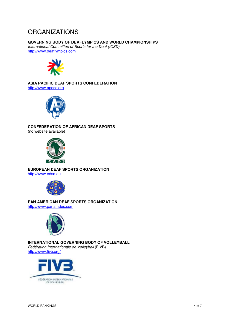### **ORGANIZATIONS**

#### **GOVERNING BODY OF DEAFLYMPICS AND WORLD CHAMPIONSHIPS**

International Committee of Sports for the Deaf (ICSD) http://www.deaflympics.com



#### **ASIA PACIFIC DEAF SPORTS CONFEDERATION**  http://www.apdsc.org



#### **CONFEDERATION OF AFRICAN DEAF SPORTS**

(no website available)



**EUROPEAN DEAF SPORTS ORGANIZATION**  http://www.edso.eu



**PAN AMERICAN DEAF SPORTS ORGANIZATION** 

http://www.panamdes.com



**INTERNATIONAL GOVERNING BODY OF VOLLEYBALL**  Fédération Internationale de Volleyball (FIVB) http://www.fivb.org/

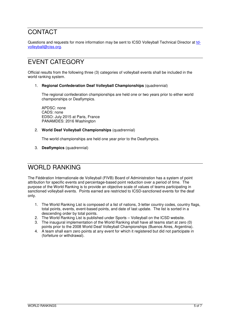### **CONTACT**

Questions and requests for more information may be sent to ICSD Volleyball Technical Director at tdvolleyball@ciss.org.

### EVENT CATEGORY

Official results from the following three (3) categories of volleyball events shall be included in the world ranking system.

1. **Regional Confederation Deaf Volleyball Championships** (quadrennial)

The regional confederation championships are held one or two years prior to either world championships or Deaflympics.

APDSC: none CADS: none EDSO: July 2015 at Paris, France PANAMDES: 2016 Washington

2. **World Deaf Volleyball Championships** (quadrennial)

The world championships are held one year prior to the Deaflympics.

3. **Deaflympics** (quadrennial)

### WORLD RANKING

The Fédération Internationale de Volleyball (FIVB) Board of Administration has a system of point attribution for specific events and percentage-based point reduction over a period of time. The purpose of the World Ranking is to provide an objective scale of values of teams participating in sanctioned volleyball events. Points earned are restricted to ICSD-sanctioned events for the deaf only.

- 1. The World Ranking List is composed of a list of nations, 3-letter country codes, country flags, total points, events, event-based points, and date of last update. The list is sorted in a descending order by total points.
- 2. The World Ranking List is published under Sports Volleyball on the ICSD website.
- 3. The inaugural implementation of the World Ranking shall have all teams start at zero (0) points prior to the 2008 World Deaf Volleyball Championships (Buenos Aires, Argentina).
- 4. A team shall earn zero points at any event for which it registered but did not participate in (forfeiture or withdrawal).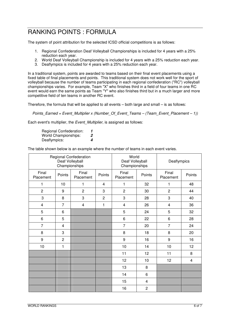### RANKING POINTS : FORMULA

The system of point attribution for the selected ICSD official competitions is as follows:

- 1. Regional Confederation Deaf Volleyball Championships is included for 4 years with a 25% reduction each year.
- 2. World Deaf Volleyball Championship is included for 4 years with a 25% reduction each year.
- 3. Deaflympics is included for 4 years with a 25% reduction each year.

In a traditional system, points are awarded to teams based on their final event placements using a fixed table of final placements and points. This traditional system does not work well for the sport of volleyball because the number of teams participating in each regional confederation ("RC") volleyball championships varies. For example, Team "X" who finishes third in a field of four teams in one RC event would earn the same points as Team "Y" who also finishes third but in a much larger and more competitive field of ten teams in another RC event.

Therefore, the formula that will be applied to all events – both large and small – is as follows:

Points Earned = Event Multiplier x (Number Of Event Teams – (Team Event Placement – 1))

Each event's multiplier, the Event Multiplier, is assigned as follows:

Regional Confederation: **1** World Championships: **2**  Deaflympics: **4** 

The table shown below is an example where the number of teams in each event varies.

|                         | Deaf Volleyball<br>Championships | Regional Confederation  |                | World<br>Deaf Volleyball<br>Championships |                | Deaflympics        |        |  |
|-------------------------|----------------------------------|-------------------------|----------------|-------------------------------------------|----------------|--------------------|--------|--|
| Final<br>Placement      | Points                           | Final<br>Placement      | Points         | Final<br>Placement                        | Points         | Final<br>Placement | Points |  |
| 1                       | 10                               | 1                       | 4              | 1                                         | 32             | 1                  | 48     |  |
| $\overline{2}$          | 9                                | $\overline{c}$          | 3              | $\overline{2}$                            | 30             | $\overline{c}$     | 44     |  |
| 3                       | 8                                | 3                       | $\overline{2}$ | 3                                         | 28             | 3                  | 40     |  |
| $\overline{\mathbf{4}}$ | $\overline{7}$                   | $\overline{\mathbf{4}}$ | 1              | $\overline{\mathbf{4}}$                   | 26             | 4                  | 36     |  |
| 5                       | 6                                |                         |                | 5                                         | 24             | 5                  | 32     |  |
| 6                       | 5                                |                         |                | 6                                         | 22             | 6                  | 28     |  |
| $\overline{7}$          | 4                                |                         |                | $\overline{7}$                            | 20             | $\overline{7}$     | 24     |  |
| 8                       | 3                                |                         |                | 8                                         | 18             | 8                  | 20     |  |
| $\boldsymbol{9}$        | $\overline{2}$                   |                         | 9              |                                           | 16             | 9                  | 16     |  |
| 10                      | 1                                |                         |                | 10                                        | 14             | 10                 | 12     |  |
|                         |                                  |                         |                | 11                                        | 12             | 11                 | 8      |  |
|                         |                                  |                         |                | 12                                        | 10             | 12                 | 4      |  |
|                         |                                  |                         |                | 13                                        | 8              |                    |        |  |
|                         |                                  |                         |                | 14                                        | 6              |                    |        |  |
|                         |                                  |                         |                | 15                                        | $\overline{4}$ |                    |        |  |
|                         |                                  |                         |                | 16                                        | $\overline{2}$ |                    |        |  |